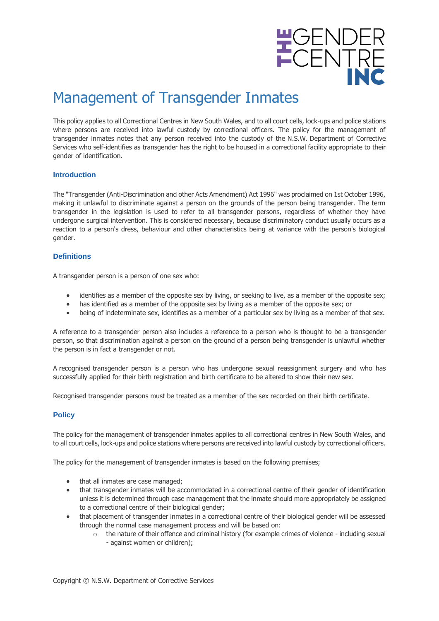

# Management of Transgender Inmates

This policy applies to all Correctional Centres in New South Wales, and to all court cells, lock-ups and police stations where persons are received into lawful custody by correctional officers. The policy for the management of transgender inmates notes that any person received into the custody of the N.S.W. Department of Corrective Services who self-identifies as transgender has the right to be housed in a correctional facility appropriate to their gender of identification.

## **Introduction**

The "Transgender (Anti-Discrimination and other Acts Amendment) Act 1996" was proclaimed on 1st October 1996, making it unlawful to discriminate against a person on the grounds of the person being transgender. The term transgender in the legislation is used to refer to all transgender persons, regardless of whether they have undergone surgical intervention. This is considered necessary, because discriminatory conduct usually occurs as a reaction to a person's dress, behaviour and other characteristics being at variance with the person's biological gender.

# **Definitions**

A transgender person is a person of one sex who:

- identifies as a member of the opposite sex by living, or seeking to live, as a member of the opposite sex;
- has identified as a member of the opposite sex by living as a member of the opposite sex; or
- being of indeterminate sex, identifies as a member of a particular sex by living as a member of that sex.

A reference to a transgender person also includes a reference to a person who is thought to be a transgender person, so that discrimination against a person on the ground of a person being transgender is unlawful whether the person is in fact a transgender or not.

A recognised transgender person is a person who has undergone sexual reassignment surgery and who has successfully applied for their birth registration and birth certificate to be altered to show their new sex.

Recognised transgender persons must be treated as a member of the sex recorded on their birth certificate.

## **Policy**

The policy for the management of transgender inmates applies to all correctional centres in New South Wales, and to all court cells, lock-ups and police stations where persons are received into lawful custody by correctional officers.

The policy for the management of transgender inmates is based on the following premises;

- that all inmates are case managed;
- that transgender inmates will be accommodated in a correctional centre of their gender of identification unless it is determined through case management that the inmate should more appropriately be assigned to a correctional centre of their biological gender;
- that placement of transgender inmates in a correctional centre of their biological gender will be assessed through the normal case management process and will be based on:
	- $\circ$  the nature of their offence and criminal history (for example crimes of violence including sexual - against women or children);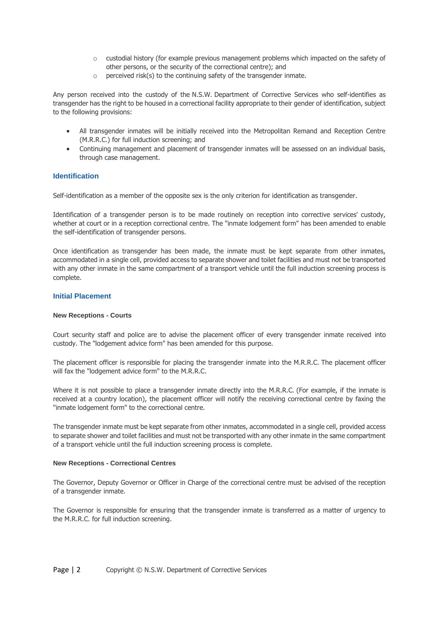- $\circ$  custodial history (for example previous management problems which impacted on the safety of other persons, or the security of the correctional centre); and
- $\circ$  perceived risk(s) to the continuing safety of the transgender inmate.

Any person received into the custody of the N.S.W. Department of Corrective Services who self-identifies as transgender has the right to be housed in a correctional facility appropriate to their gender of identification, subject to the following provisions:

- All transgender inmates will be initially received into the Metropolitan Remand and Reception Centre (M.R.R.C.) for full induction screening; and
- Continuing management and placement of transgender inmates will be assessed on an individual basis, through case management.

#### **Identification**

Self-identification as a member of the opposite sex is the only criterion for identification as transgender.

Identification of a transgender person is to be made routinely on reception into corrective services' custody, whether at court or in a reception correctional centre. The "inmate lodgement form" has been amended to enable the self-identification of transgender persons.

Once identification as transgender has been made, the inmate must be kept separate from other inmates, accommodated in a single cell, provided access to separate shower and toilet facilities and must not be transported with any other inmate in the same compartment of a transport vehicle until the full induction screening process is complete.

#### **Initial Placement**

#### **New Receptions - Courts**

Court security staff and police are to advise the placement officer of every transgender inmate received into custody. The "lodgement advice form" has been amended for this purpose.

The placement officer is responsible for placing the transgender inmate into the M.R.R.C. The placement officer will fax the "lodgement advice form" to the M.R.R.C.

Where it is not possible to place a transgender inmate directly into the M.R.R.C. (For example, if the inmate is received at a country location), the placement officer will notify the receiving correctional centre by faxing the "inmate lodgement form" to the correctional centre.

The transgender inmate must be kept separate from other inmates, accommodated in a single cell, provided access to separate shower and toilet facilities and must not be transported with any other inmate in the same compartment of a transport vehicle until the full induction screening process is complete.

#### **New Receptions - Correctional Centres**

The Governor, Deputy Governor or Officer in Charge of the correctional centre must be advised of the reception of a transgender inmate.

The Governor is responsible for ensuring that the transgender inmate is transferred as a matter of urgency to the M.R.R.C. for full induction screening.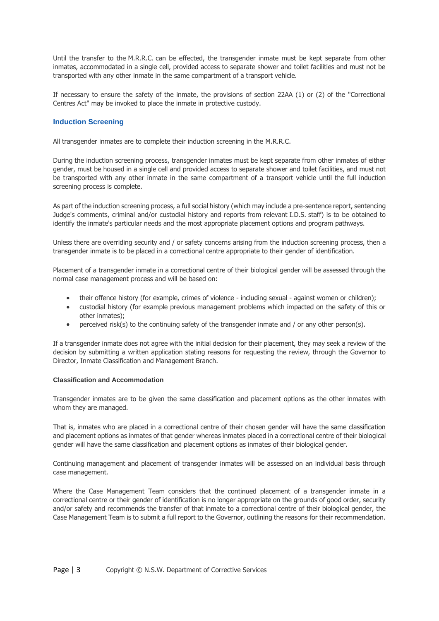Until the transfer to the M.R.R.C. can be effected, the transgender inmate must be kept separate from other inmates, accommodated in a single cell, provided access to separate shower and toilet facilities and must not be transported with any other inmate in the same compartment of a transport vehicle.

If necessary to ensure the safety of the inmate, the provisions of section 22AA (1) or (2) of the "Correctional Centres Act" may be invoked to place the inmate in protective custody.

# **Induction Screening**

All transgender inmates are to complete their induction screening in the M.R.R.C.

During the induction screening process, transgender inmates must be kept separate from other inmates of either gender, must be housed in a single cell and provided access to separate shower and toilet facilities, and must not be transported with any other inmate in the same compartment of a transport vehicle until the full induction screening process is complete.

As part of the induction screening process, a full social history (which may include a pre-sentence report, sentencing Judge's comments, criminal and/or custodial history and reports from relevant I.D.S. staff) is to be obtained to identify the inmate's particular needs and the most appropriate placement options and program pathways.

Unless there are overriding security and / or safety concerns arising from the induction screening process, then a transgender inmate is to be placed in a correctional centre appropriate to their gender of identification.

Placement of a transgender inmate in a correctional centre of their biological gender will be assessed through the normal case management process and will be based on:

- their offence history (for example, crimes of violence including sexual against women or children);
- custodial history (for example previous management problems which impacted on the safety of this or other inmates);
- perceived risk(s) to the continuing safety of the transgender inmate and / or any other person(s).

If a transgender inmate does not agree with the initial decision for their placement, they may seek a review of the decision by submitting a written application stating reasons for requesting the review, through the Governor to Director, Inmate Classification and Management Branch.

#### **Classification and Accommodation**

Transgender inmates are to be given the same classification and placement options as the other inmates with whom they are managed.

That is, inmates who are placed in a correctional centre of their chosen gender will have the same classification and placement options as inmates of that gender whereas inmates placed in a correctional centre of their biological gender will have the same classification and placement options as inmates of their biological gender.

Continuing management and placement of transgender inmates will be assessed on an individual basis through case management.

Where the Case Management Team considers that the continued placement of a transgender inmate in a correctional centre or their gender of identification is no longer appropriate on the grounds of good order, security and/or safety and recommends the transfer of that inmate to a correctional centre of their biological gender, the Case Management Team is to submit a full report to the Governor, outlining the reasons for their recommendation.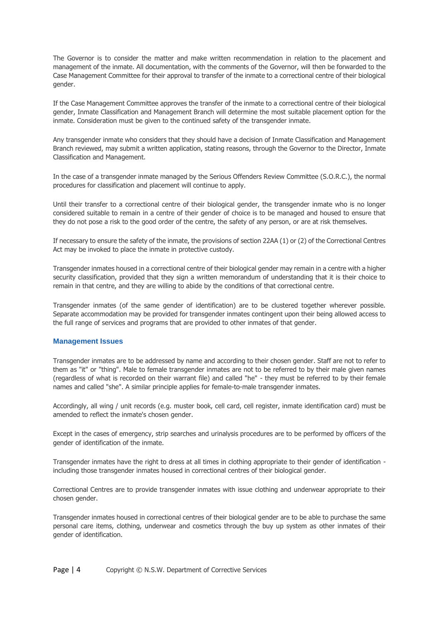The Governor is to consider the matter and make written recommendation in relation to the placement and management of the inmate. All documentation, with the comments of the Governor, will then be forwarded to the Case Management Committee for their approval to transfer of the inmate to a correctional centre of their biological gender.

If the Case Management Committee approves the transfer of the inmate to a correctional centre of their biological gender, Inmate Classification and Management Branch will determine the most suitable placement option for the inmate. Consideration must be given to the continued safety of the transgender inmate.

Any transgender inmate who considers that they should have a decision of Inmate Classification and Management Branch reviewed, may submit a written application, stating reasons, through the Governor to the Director, Inmate Classification and Management.

In the case of a transgender inmate managed by the Serious Offenders Review Committee (S.O.R.C.), the normal procedures for classification and placement will continue to apply.

Until their transfer to a correctional centre of their biological gender, the transgender inmate who is no longer considered suitable to remain in a centre of their gender of choice is to be managed and housed to ensure that they do not pose a risk to the good order of the centre, the safety of any person, or are at risk themselves.

If necessary to ensure the safety of the inmate, the provisions of section 22AA (1) or (2) of the Correctional Centres Act may be invoked to place the inmate in protective custody.

Transgender inmates housed in a correctional centre of their biological gender may remain in a centre with a higher security classification, provided that they sign a written memorandum of understanding that it is their choice to remain in that centre, and they are willing to abide by the conditions of that correctional centre.

Transgender inmates (of the same gender of identification) are to be clustered together wherever possible. Separate accommodation may be provided for transgender inmates contingent upon their being allowed access to the full range of services and programs that are provided to other inmates of that gender.

## **Management Issues**

Transgender inmates are to be addressed by name and according to their chosen gender. Staff are not to refer to them as "it" or "thing". Male to female transgender inmates are not to be referred to by their male given names (regardless of what is recorded on their warrant file) and called "he" - they must be referred to by their female names and called "she". A similar principle applies for female-to-male transgender inmates.

Accordingly, all wing / unit records (e.g. muster book, cell card, cell register, inmate identification card) must be amended to reflect the inmate's chosen gender.

Except in the cases of emergency, strip searches and urinalysis procedures are to be performed by officers of the gender of identification of the inmate.

Transgender inmates have the right to dress at all times in clothing appropriate to their gender of identification including those transgender inmates housed in correctional centres of their biological gender.

Correctional Centres are to provide transgender inmates with issue clothing and underwear appropriate to their chosen gender.

Transgender inmates housed in correctional centres of their biological gender are to be able to purchase the same personal care items, clothing, underwear and cosmetics through the buy up system as other inmates of their gender of identification.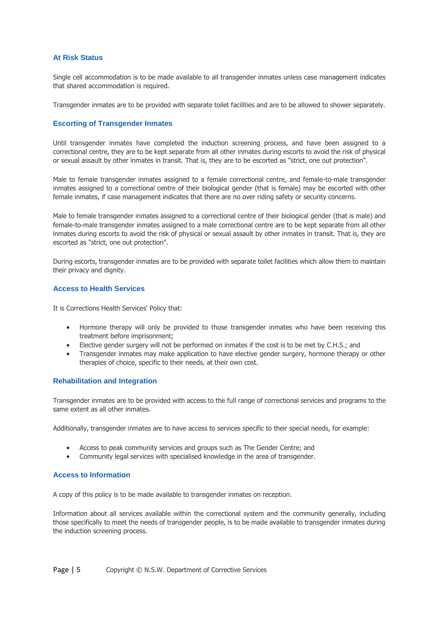# **At Risk Status**

Single cell accommodation is to be made available to all transgender inmates unless case management indicates that shared accommodation is required.

Transgender inmates are to be provided with separate toilet facilities and are to be allowed to shower separately.

# **Escorting of Transgender Inmates**

Until transgender inmates have completed the induction screening process, and have been assigned to a correctional centre, they are to be kept separate from all other inmates during escorts to avoid the risk of physical or sexual assault by other inmates in transit. That is, they are to be escorted as "strict, one out protection".

Male to female transgender inmates assigned to a female correctional centre, and female-to-male transgender inmates assigned to a correctional centre of their biological gender (that is female) may be escorted with other female inmates, if case management indicates that there are no over riding safety or security concerns.

Male to female transgender inmates assigned to a correctional centre of their biological gender (that is male) and female-to-male transgender inmates assigned to a male correctional centre are to be kept separate from all other inmates during escorts to avoid the risk of physical or sexual assault by other inmates in transit. That is, they are escorted as "strict, one out protection".

During escorts, transgender inmates are to be provided with separate toilet facilities which allow them to maintain their privacy and dignity.

# **Access to Health Services**

It is Corrections Health Services' Policy that:

- Hormone therapy will only be provided to those transgender inmates who have been receiving this treatment before imprisonment;
- Elective gender surgery will not be performed on inmates if the cost is to be met by C.H.S.; and
- Transgender inmates may make application to have elective gender surgery, hormone therapy or other therapies of choice, specific to their needs, at their own cost.

## **Rehabilitation and Integration**

Transgender inmates are to be provided with access to the full range of correctional services and programs to the same extent as all other inmates.

Additionally, transgender inmates are to have access to services specific to their special needs, for example:

- Access to peak community services and groups such as The Gender Centre; and
- Community legal services with specialised knowledge in the area of transgender.

## **Access to Information**

A copy of this policy is to be made available to transgender inmates on reception.

Information about all services available within the correctional system and the community generally, including those specifically to meet the needs of transgender people, is to be made available to transgender inmates during the induction screening process.